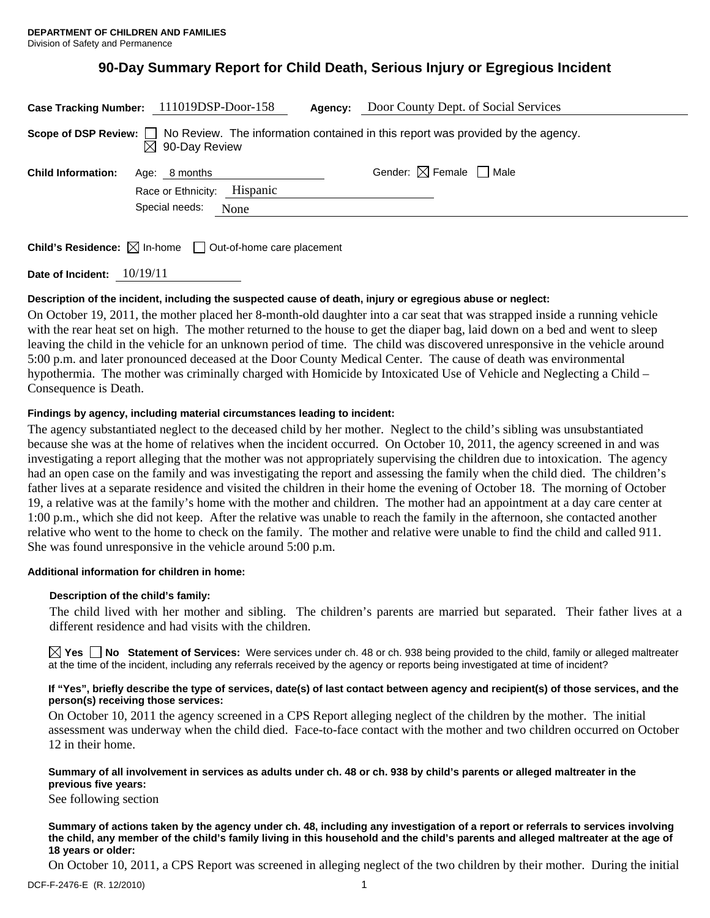# **90-Day Summary Report for Child Death, Serious Injury or Egregious Incident**

| Case Tracking Number: 111019DSP-Door-158                                                                                                 |                             |      | Agency: | Door County Dept. of Social Services   |
|------------------------------------------------------------------------------------------------------------------------------------------|-----------------------------|------|---------|----------------------------------------|
| Scope of DSP Review: $\Box$ No Review. The information contained in this report was provided by the agency.<br>$\boxtimes$ 90-Day Review |                             |      |         |                                        |
| <b>Child Information:</b>                                                                                                                | Age: 8 months               |      |         | Gender: $\boxtimes$ Female $\Box$ Male |
|                                                                                                                                          | Race or Ethnicity: Hispanic |      |         |                                        |
|                                                                                                                                          | Special needs:              | None |         |                                        |
|                                                                                                                                          |                             |      |         |                                        |

**Child's Residence:**  $\boxtimes$  In-home  $\Box$  Out-of-home care placement

**Date of Incident:** 10/19/11

## **Description of the incident, including the suspected cause of death, injury or egregious abuse or neglect:**

On October 19, 2011, the mother placed her 8-month-old daughter into a car seat that was strapped inside a running vehicle with the rear heat set on high. The mother returned to the house to get the diaper bag, laid down on a bed and went to sleep leaving the child in the vehicle for an unknown period of time. The child was discovered unresponsive in the vehicle around 5:00 p.m. and later pronounced deceased at the Door County Medical Center. The cause of death was environmental hypothermia. The mother was criminally charged with Homicide by Intoxicated Use of Vehicle and Neglecting a Child – Consequence is Death.

## **Findings by agency, including material circumstances leading to incident:**

The agency substantiated neglect to the deceased child by her mother. Neglect to the child's sibling was unsubstantiated because she was at the home of relatives when the incident occurred. On October 10, 2011, the agency screened in and was investigating a report alleging that the mother was not appropriately supervising the children due to intoxication. The agency had an open case on the family and was investigating the report and assessing the family when the child died. The children's father lives at a separate residence and visited the children in their home the evening of October 18. The morning of October 19, a relative was at the family's home with the mother and children. The mother had an appointment at a day care center at 1:00 p.m., which she did not keep. After the relative was unable to reach the family in the afternoon, she contacted another relative who went to the home to check on the family. The mother and relative were unable to find the child and called 911. She was found unresponsive in the vehicle around 5:00 p.m.

#### **Additional information for children in home:**

## **Description of the child's family:**

The child lived with her mother and sibling. The children's parents are married but separated. Their father lives at a different residence and had visits with the children.

**Yes No** Statement of Services: Were services under ch. 48 or ch. 938 being provided to the child, family or alleged maltreater at the time of the incident, including any referrals received by the agency or reports being investigated at time of incident?

#### **If "Yes", briefly describe the type of services, date(s) of last contact between agency and recipient(s) of those services, and the person(s) receiving those services:**

On October 10, 2011 the agency screened in a CPS Report alleging neglect of the children by the mother. The initial assessment was underway when the child died. Face-to-face contact with the mother and two children occurred on October 12 in their home.

#### **Summary of all involvement in services as adults under ch. 48 or ch. 938 by child's parents or alleged maltreater in the previous five years:**

See following section

#### **Summary of actions taken by the agency under ch. 48, including any investigation of a report or referrals to services involving the child, any member of the child's family living in this household and the child's parents and alleged maltreater at the age of 18 years or older:**

On October 10, 2011, a CPS Report was screened in alleging neglect of the two children by their mother. During the initial